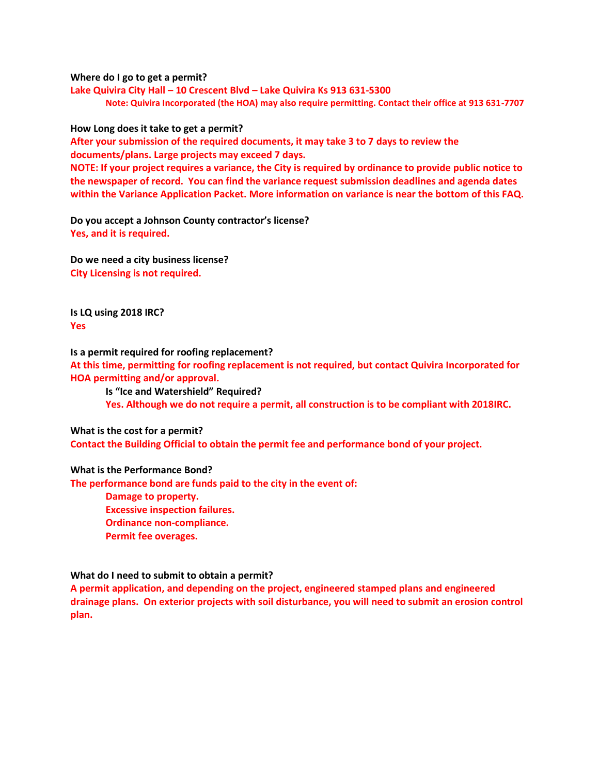**Where do I go to get a permit?**

**Lake Quivira City Hall – 10 Crescent Blvd – Lake Quivira Ks 913 631-5300 Note: Quivira Incorporated (the HOA) may also require permitting. Contact their office at 913 631-7707**

**How Long does it take to get a permit?**

**After your submission of the required documents, it may take 3 to 7 days to review the documents/plans. Large projects may exceed 7 days.**

**NOTE: If your project requires a variance, the City is required by ordinance to provide public notice to the newspaper of record. You can find the variance request submission deadlines and agenda dates within the Variance Application Packet. More information on variance is near the bottom of this FAQ.**

**Do you accept a Johnson County contractor's license? Yes, and it is required.**

**Do we need a city business license? City Licensing is not required.**

**Is LQ using 2018 IRC? Yes**

**Is a permit required for roofing replacement?**

**At this time, permitting for roofing replacement is not required, but contact Quivira Incorporated for HOA permitting and/or approval.**

**Is "Ice and Watershield" Required? Yes. Although we do not require a permit, all construction is to be compliant with 2018IRC.**

**What is the cost for a permit?**

**Contact the Building Official to obtain the permit fee and performance bond of your project.**

## **What is the Performance Bond?**

**The performance bond are funds paid to the city in the event of:**

**Damage to property. Excessive inspection failures. Ordinance non-compliance. Permit fee overages.**

## **What do I need to submit to obtain a permit?**

**A permit application, and depending on the project, engineered stamped plans and engineered drainage plans. On exterior projects with soil disturbance, you will need to submit an erosion control plan.**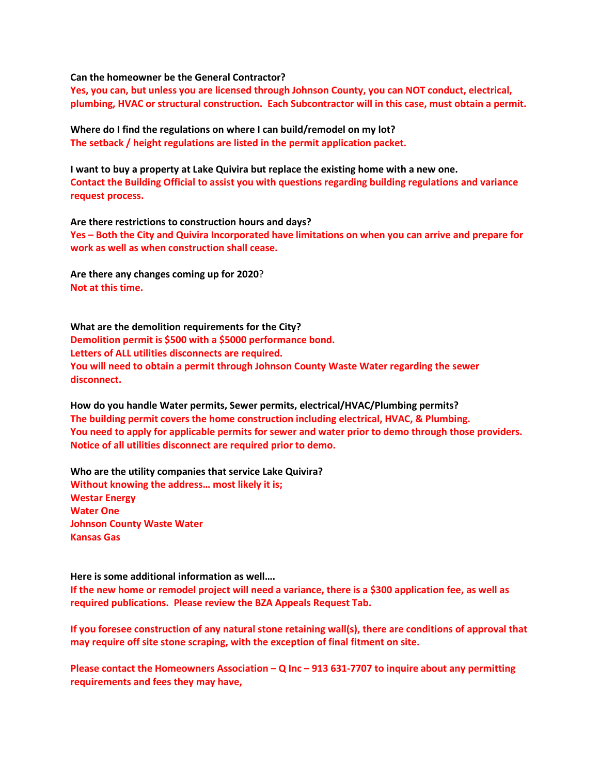**Can the homeowner be the General Contractor?**

**Yes, you can, but unless you are licensed through Johnson County, you can NOT conduct, electrical, plumbing, HVAC or structural construction. Each Subcontractor will in this case, must obtain a permit.** 

**Where do I find the regulations on where I can build/remodel on my lot? The setback / height regulations are listed in the permit application packet.**

**I want to buy a property at Lake Quivira but replace the existing home with a new one.**

**Contact the Building Official to assist you with questions regarding building regulations and variance request process.**

**Are there restrictions to construction hours and days?**

**Yes – Both the City and Quivira Incorporated have limitations on when you can arrive and prepare for work as well as when construction shall cease.** 

**Are there any changes coming up for 2020**? **Not at this time.**

**What are the demolition requirements for the City? Demolition permit is \$500 with a \$5000 performance bond. Letters of ALL utilities disconnects are required. You will need to obtain a permit through Johnson County Waste Water regarding the sewer disconnect.**

**How do you handle Water permits, Sewer permits, electrical/HVAC/Plumbing permits? The building permit covers the home construction including electrical, HVAC, & Plumbing. You need to apply for applicable permits for sewer and water prior to demo through those providers. Notice of all utilities disconnect are required prior to demo.**

**Who are the utility companies that service Lake Quivira? Without knowing the address… most likely it is; Westar Energy Water One Johnson County Waste Water Kansas Gas** 

**Here is some additional information as well….**

**If the new home or remodel project will need a variance, there is a \$300 application fee, as well as required publications. Please review the BZA Appeals Request Tab.**

**If you foresee construction of any natural stone retaining wall(s), there are conditions of approval that may require off site stone scraping, with the exception of final fitment on site.**

**Please contact the Homeowners Association – Q Inc – 913 631-7707 to inquire about any permitting requirements and fees they may have,**